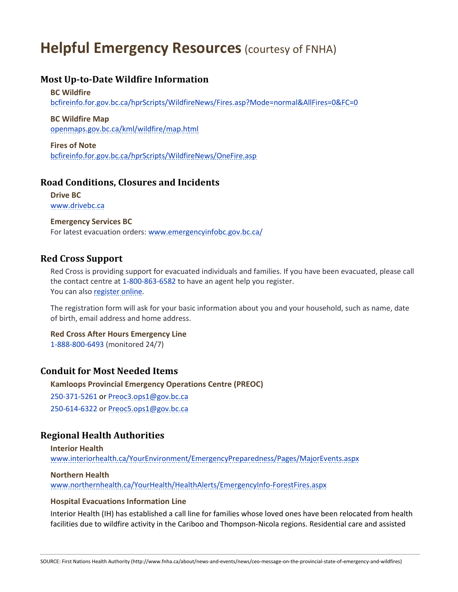# **Helpful Emergency Resources (courtesy of FNHA)**

# **Most Up-to-Date Wildfire Information**

#### **BC Wildfire**

[bcfireinfo.for.gov.bc.ca/hprScripts/WildfireNews/Fires.asp?Mode=normal&AllFires=0&FC=0](http://bcfireinfo.for.gov.bc.ca/hprScripts/WildfireNews/Fires.asp?Mode=normal&AllFires=0&FC=0)

#### **BC Wildfire Map**

[openmaps.gov.bc.ca/kml/wildfire/map.html](http://openmaps.gov.bc.ca/kml/wildfire/map.html)

## **Fires of Note**

[bcfireinfo.for.gov.bc.ca/hprScripts/WildfireNews/OneFire.asp](http://bcfireinfo.for.gov.bc.ca/hprScripts/WildfireNews/OneFire.asp)

# **Road Conditions, Closures and Incidents**

**Drive BC** [www.drivebc.ca](http://www.drivebc.ca/)

#### **Emergency Services BC**

For latest evacuation orders: [www.emergencyinfobc.gov.bc.ca/](http://www.emergencyinfobc.gov.bc.ca/)

## **Red Cross Support**

Red Cross is providing support for evacuated individuals and families. If you have been evacuated, please call the contact centre at 1-800-863-6582 to have an agent help you register. You can also [register online.](http://my.redcross.ca/crcportal/disaster-events/beneficiary-registration/?dEventId=3B674BC3-F663-E711-8101-C4346BAC69B8&_ga=2.70142808.936286326.1499639502-1051270176.1499639502)

The registration form will ask for your basic information about you and your household, such as name, date of birth, email address and home address.

#### **Red Cross After Hours Emergency Line** 1-888-800-6493 (monitored 24/7)

## **Conduit for Most Needed Items**

**Kamloops Provincial Emergency Operations Centre (PREOC)**  250-371-5261 o[r Preoc3.ops1@gov.bc.ca](mailto:Preoc3.ops1@gov.bc.ca) 250-614-6322 o[r Preoc5.ops1@gov.bc.ca](mailto:Preoc5.ops1@gov.bc.ca)

# **Regional Health Authorities**

**Interior Health** [www.interiorhealth.ca/YourEnvironment/EmergencyPreparedness/Pages/MajorEvents.aspx](http://www.interiorhealth.ca/YourEnvironment/EmergencyPreparedness/Pages/MajorEvents.aspx)

## **Northern Health**

[www.northernhealth.ca/YourHealth/HealthAlerts/EmergencyInfo-ForestFires.aspx](http://www.northernhealth.ca/YourHealth/HealthAlerts/EmergencyInfo-ForestFires.aspx)

## **Hospital Evacuations Information Line**

Interior Health (IH) has established a call line for families whose loved ones have been relocated from health facilities due to wildfire activity in the Cariboo and Thompson-Nicola regions. Residential care and assisted